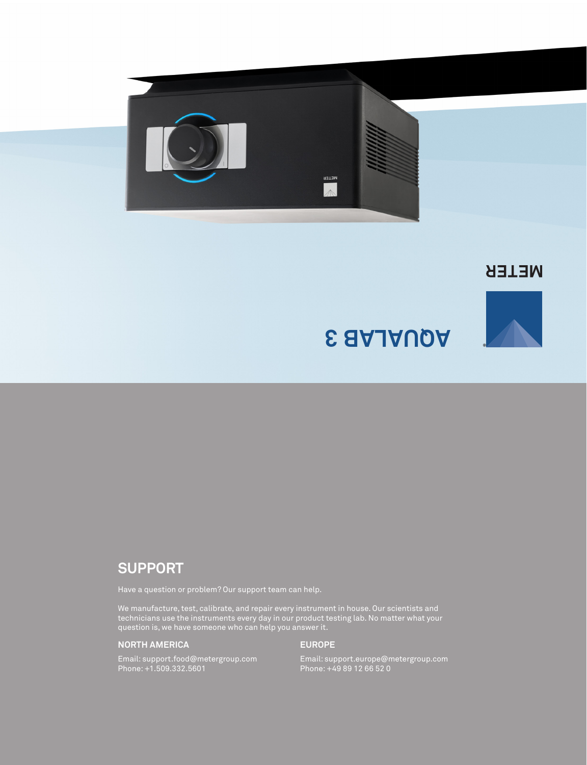

**NETER** 

**®**

# **AQUALAB 3**

## **SUPPORT**

Have a question or problem? Our support team can help.

We manufacture, test, calibrate, and repair every instrument in house. Our scientists and technicians use the instruments every day in our product testing lab. No matter what your question is, we have someone who can help you answer it.

### **NORTH AMERICA**

#### **EUROPE**

Email: support.food@metergroup.com Phone: +1.509.332.5601

Email: support.europe@metergroup.com Phone: +49 89 12 66 52 0